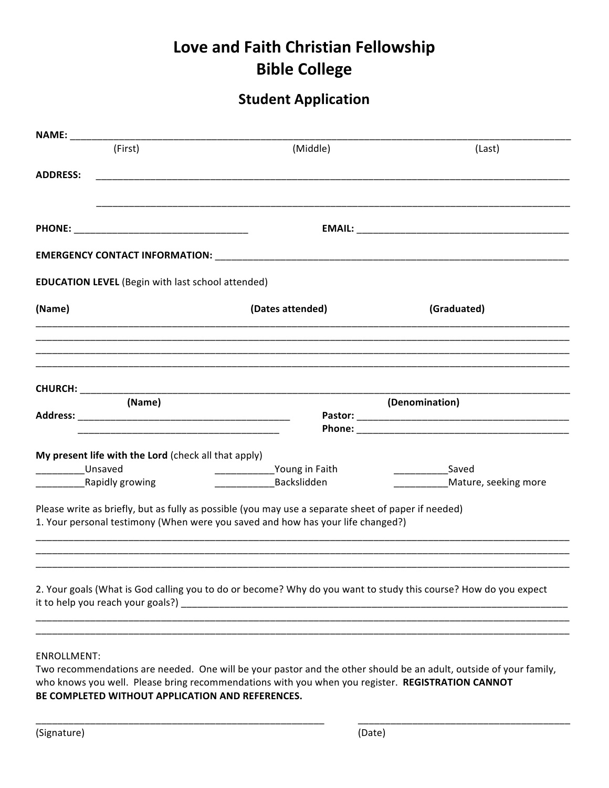## Love and Faith Christian Fellowship **Bible College**

## **Student Application**

| <b>NAME:</b> ____________                                |                                                                                                                 |                      |  |  |  |
|----------------------------------------------------------|-----------------------------------------------------------------------------------------------------------------|----------------------|--|--|--|
| (First)                                                  | (Middle)                                                                                                        | (Last)               |  |  |  |
| <b>ADDRESS:</b>                                          |                                                                                                                 |                      |  |  |  |
|                                                          |                                                                                                                 |                      |  |  |  |
|                                                          |                                                                                                                 |                      |  |  |  |
| <b>EDUCATION LEVEL</b> (Begin with last school attended) |                                                                                                                 |                      |  |  |  |
| (Name)                                                   | (Dates attended)                                                                                                | (Graduated)          |  |  |  |
|                                                          |                                                                                                                 |                      |  |  |  |
|                                                          |                                                                                                                 |                      |  |  |  |
|                                                          |                                                                                                                 |                      |  |  |  |
| (Name)                                                   |                                                                                                                 | (Denomination)       |  |  |  |
|                                                          |                                                                                                                 |                      |  |  |  |
|                                                          |                                                                                                                 |                      |  |  |  |
| My present life with the Lord (check all that apply)     |                                                                                                                 |                      |  |  |  |
| Unsaved                                                  | ________________Young in Faith                                                                                  | Saved                |  |  |  |
| Rapidly growing                                          | Backslidden                                                                                                     | Mature, seeking more |  |  |  |
|                                                          | Please write as briefly, but as fully as possible (you may use a separate sheet of paper if needed)             |                      |  |  |  |
|                                                          | 1. Your personal testimony (When were you saved and how has your life changed?)                                 |                      |  |  |  |
|                                                          |                                                                                                                 |                      |  |  |  |
|                                                          |                                                                                                                 |                      |  |  |  |
|                                                          |                                                                                                                 |                      |  |  |  |
|                                                          | 2. Your goals (What is God calling you to do or become? Why do you want to study this course? How do you expect |                      |  |  |  |
|                                                          |                                                                                                                 |                      |  |  |  |
|                                                          |                                                                                                                 |                      |  |  |  |
|                                                          |                                                                                                                 |                      |  |  |  |
| <b>ENROLLMENT:</b>                                       |                                                                                                                 |                      |  |  |  |

Two recommendations are needed. One will be your pastor and the other should be an adult, outside of your family, who knows you well. Please bring recommendations with you when you register. REGISTRATION CANNOT BE COMPLETED WITHOUT APPLICATION AND REFERENCES.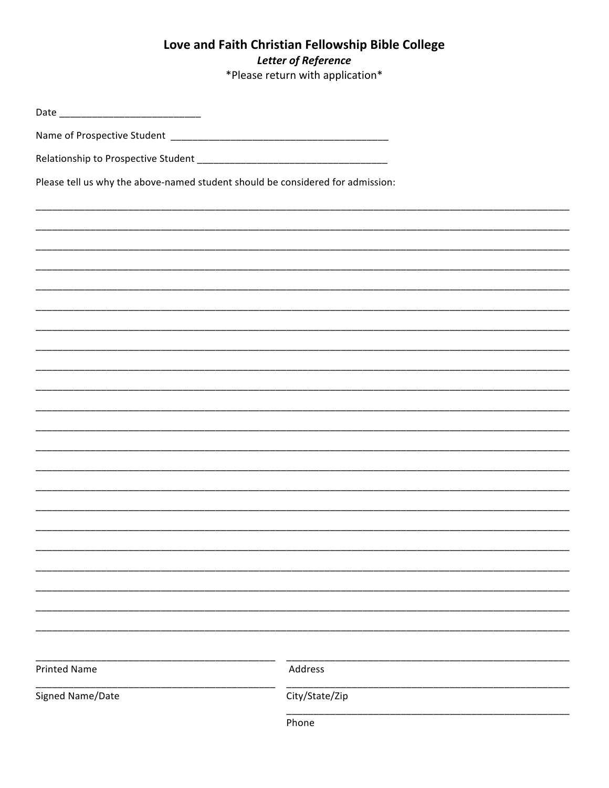## Love and Faith Christian Fellowship Bible College **Letter of Reference** \*Please return with application\*

| Please tell us why the above-named student should be considered for admission: |                |  |  |  |  |
|--------------------------------------------------------------------------------|----------------|--|--|--|--|
|                                                                                |                |  |  |  |  |
|                                                                                |                |  |  |  |  |
|                                                                                |                |  |  |  |  |
|                                                                                |                |  |  |  |  |
|                                                                                |                |  |  |  |  |
|                                                                                |                |  |  |  |  |
|                                                                                |                |  |  |  |  |
|                                                                                |                |  |  |  |  |
|                                                                                |                |  |  |  |  |
|                                                                                |                |  |  |  |  |
|                                                                                |                |  |  |  |  |
|                                                                                |                |  |  |  |  |
|                                                                                |                |  |  |  |  |
|                                                                                |                |  |  |  |  |
|                                                                                |                |  |  |  |  |
|                                                                                |                |  |  |  |  |
|                                                                                |                |  |  |  |  |
|                                                                                |                |  |  |  |  |
|                                                                                |                |  |  |  |  |
|                                                                                |                |  |  |  |  |
| <b>Printed Name</b>                                                            | Address        |  |  |  |  |
| Signed Name/Date                                                               | City/State/Zip |  |  |  |  |
|                                                                                | Phone          |  |  |  |  |